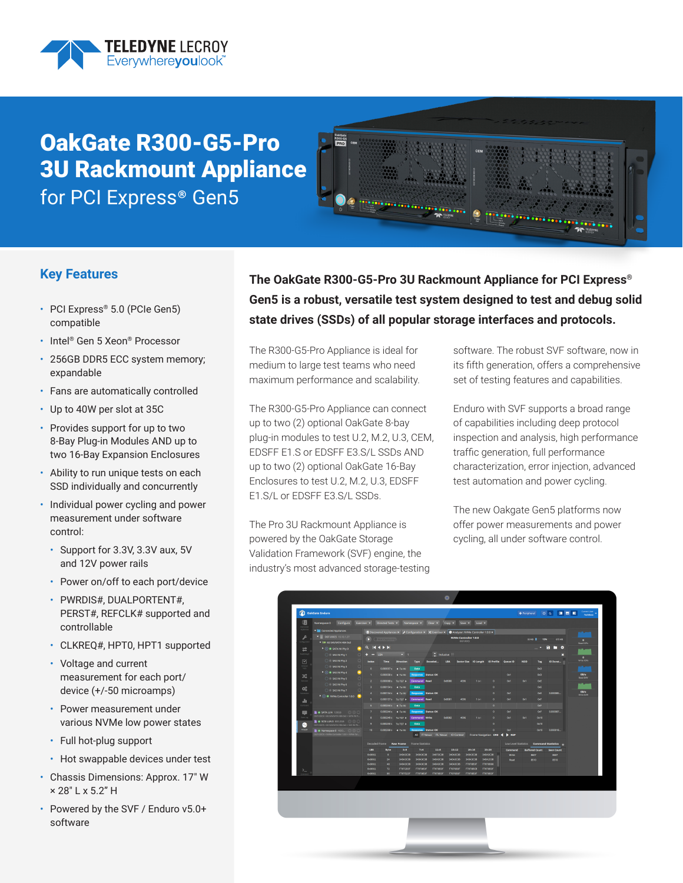

# OakGate R300-G5-Pro 3U Rackmount Appliance for PCI Express® Gen5



### **Key Features**

- PCI Express® 5.0 (PCIe Gen5) compatible
- Intel® Gen 5 Xeon® Processor
- 256GB DDR5 ECC system memory; expandable
- Fans are automatically controlled
- Up to 40W per slot at 35C
- Provides support for up to two 8-Bay Plug-in Modules AND up to two 16-Bay Expansion Enclosures
- Ability to run unique tests on each SSD individually and concurrently
- Individual power cycling and power measurement under software control:
	- Support for 3.3V, 3.3V aux, 5V and 12V power rails
	- Power on/off to each port/device
	- PWRDIS#, DUALPORTENT#, PERST#, REFCLK# supported and controllable
	- CLKREQ#, HPT0, HPT1 supported
	- Voltage and current measurement for each port/ device (+/-50 microamps)
	- Power measurement under various NVMe low power states
	- Full hot-plug support
	- Hot swappable devices under test
- Chassis Dimensions: Approx. 17" W × 28" L x 5.2" H
- Powered by the SVF / Enduro v5.0+ software

**The OakGate R300-G5-Pro 3U Rackmount Appliance for PCI Express® Gen5 is a robust, versatile test system designed to test and debug solid state drives (SSDs) of all popular storage interfaces and protocols.** 

The R300-G5-Pro Appliance is ideal for medium to large test teams who need maximum performance and scalability.

The R300-G5-Pro Appliance can connect up to two (2) optional OakGate 8-bay plug-in modules to test U.2, M.2, U.3, CEM, EDSFF E1.S or EDSFF E3.S/L SSDs AND up to two (2) optional OakGate 16-Bay Enclosures to test U.2, M.2, U.3, EDSFF E1.S/L or EDSFF E3.S/L SSDs.

The Pro 3U Rackmount Appliance is powered by the OakGate Storage Validation Framework (SVF) engine, the industry's most advanced storage-testing software. The robust SVF software, now in its fifth generation, offers a comprehensive set of testing features and capabilities.

Enduro with SVF supports a broad range of capabilities including deep protocol inspection and analysis, high performance traffic generation, full performance characterization, error injection, advanced test automation and power cycling.

The new Oakgate Gen5 platforms now offer power measurements and power cycling, all under software control.